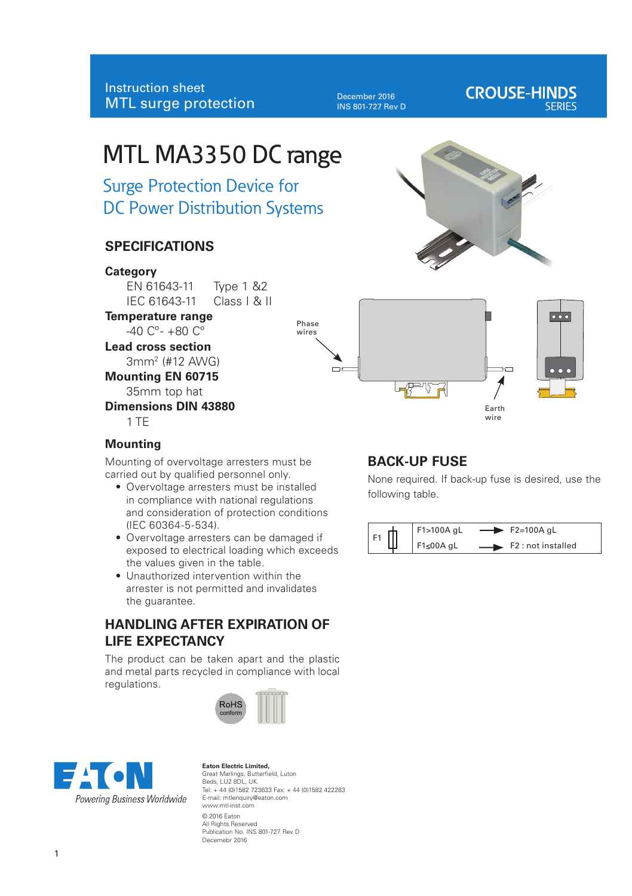December 2016 INS 801-727 Rev D

# **CROUSE-HINDS**

# MTL MA3350 DC range

Surge Protection Device for DC Power Distribution Systems

# **SPECIFICATIONS**

#### **Category**

EN 61643-11 Type 1 &2 IEC 61643-11 Class I & II

**Temperature range**  $-40$  C<sup>o</sup> -  $+80$  C<sup>o</sup>

**Lead cross section**

3mm2 (#12 AWG)

**Mounting EN 60715**

35mm top hat

**Dimensions DIN 43880** 1 TE





#### **Mounting**

Mounting of overvoltage arresters must be carried out by qualified personnel only.

- Overvoltage arresters must be installed in compliance with national regulations and consideration of protection conditions (IEC 60364-5-534).
- Overvoltage arresters can be damaged if exposed to electrical loading which exceeds the values given in the table.
- Unauthorized intervention within the arrester is not permitted and invalidates the guarantee.

# **HANDLING AFTER EXPIRATION OF LIFE EXPECTANCY**

The product can be taken apart and the plastic and metal parts recycled in compliance with local regulations.





**Eaton Electric Limited,**  Great Marlings, Butterfield, Luton Beds, LU2 8DL, UK. Tel: + 44 (0)1582 723633 Fax: + 44 (0)1582 422283 E-mail: mtlenquiry@eaton.com www.mtl-inst.com © 2016 Eaton All Rights Reserved Publication No. INS 801-727 Rev D Decemebr 2016

# **BACK-UP FUSE**

None required. If back-up fuse is desired, use the following table.